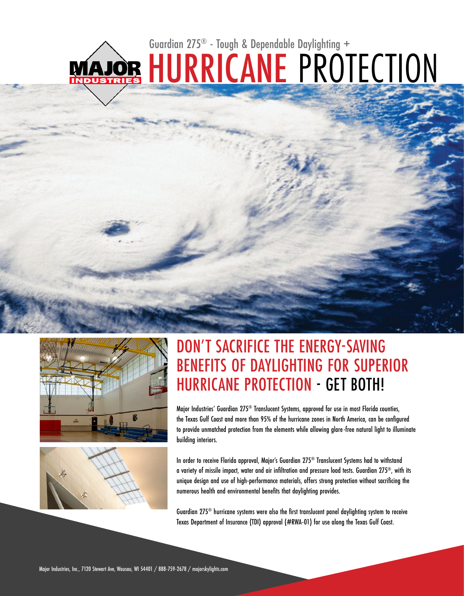# MAJOR HURRICANE PROTECTION Guardian 275® - Tough & Dependable Daylighting +





### DON'T SACRIFICE THE ENERGY-SAVING BENEFITS OF DAYLIGHTING FOR SUPERIOR HURRICANE PROTECTION - GET BOTH!

Major Industries' Guardian 275® Translucent Systems, approved for use in most Florida counties, the Texas Gulf Coast and more than 95% of the hurricane zones in North America, can be configured to provide unmatched protection from the elements while allowing glare-free natural light to illuminate building interiors.

In order to receive Florida approval, Major's Guardian 275® Translucent Systems had to withstand a variety of missile impact, water and air infiltration and pressure load tests. Guardian 275®, with its unique design and use of high-performance materials, offers strong protection without sacrificing the numerous health and environmental benefits that daylighting provides.

Guardian 275® hurricane systems were also the first translucent panel daylighting system to receive Texas Department of Insurance (TDI) approval (#RWA-01) for use along the Texas Gulf Coast.